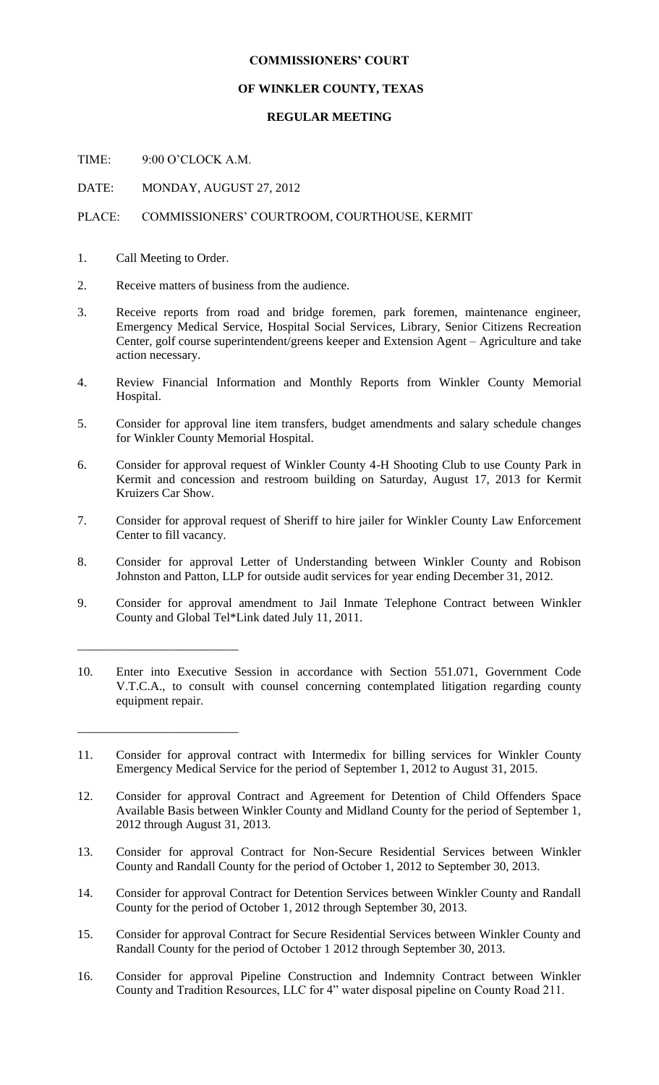## **COMMISSIONERS' COURT**

## **OF WINKLER COUNTY, TEXAS**

## **REGULAR MEETING**

TIME: 9:00 O'CLOCK A.M.

DATE: MONDAY, AUGUST 27, 2012

## PLACE: COMMISSIONERS' COURTROOM, COURTHOUSE, KERMIT

1. Call Meeting to Order.

\_\_\_\_\_\_\_\_\_\_\_\_\_\_\_\_\_\_\_\_\_\_\_\_\_\_

\_\_\_\_\_\_\_\_\_\_\_\_\_\_\_\_\_\_\_\_\_\_\_\_\_\_

- 2. Receive matters of business from the audience.
- 3. Receive reports from road and bridge foremen, park foremen, maintenance engineer, Emergency Medical Service, Hospital Social Services, Library, Senior Citizens Recreation Center, golf course superintendent/greens keeper and Extension Agent – Agriculture and take action necessary.
- 4. Review Financial Information and Monthly Reports from Winkler County Memorial Hospital.
- 5. Consider for approval line item transfers, budget amendments and salary schedule changes for Winkler County Memorial Hospital.
- 6. Consider for approval request of Winkler County 4-H Shooting Club to use County Park in Kermit and concession and restroom building on Saturday, August 17, 2013 for Kermit Kruizers Car Show.
- 7. Consider for approval request of Sheriff to hire jailer for Winkler County Law Enforcement Center to fill vacancy.
- 8. Consider for approval Letter of Understanding between Winkler County and Robison Johnston and Patton, LLP for outside audit services for year ending December 31, 2012.
- 9. Consider for approval amendment to Jail Inmate Telephone Contract between Winkler County and Global Tel\*Link dated July 11, 2011.
- 10. Enter into Executive Session in accordance with Section 551.071, Government Code V.T.C.A., to consult with counsel concerning contemplated litigation regarding county equipment repair.

- 12. Consider for approval Contract and Agreement for Detention of Child Offenders Space Available Basis between Winkler County and Midland County for the period of September 1, 2012 through August 31, 2013.
- 13. Consider for approval Contract for Non-Secure Residential Services between Winkler County and Randall County for the period of October 1, 2012 to September 30, 2013.
- 14. Consider for approval Contract for Detention Services between Winkler County and Randall County for the period of October 1, 2012 through September 30, 2013.
- 15. Consider for approval Contract for Secure Residential Services between Winkler County and Randall County for the period of October 1 2012 through September 30, 2013.
- 16. Consider for approval Pipeline Construction and Indemnity Contract between Winkler County and Tradition Resources, LLC for 4" water disposal pipeline on County Road 211.

<sup>11.</sup> Consider for approval contract with Intermedix for billing services for Winkler County Emergency Medical Service for the period of September 1, 2012 to August 31, 2015.